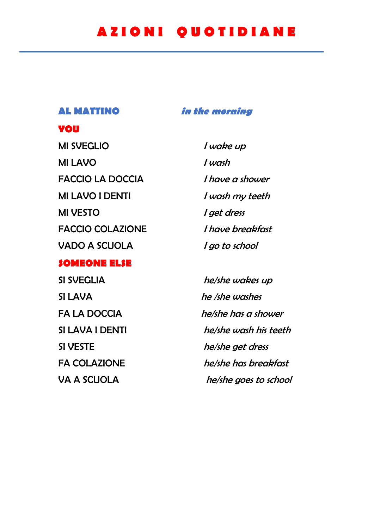## **A Z I O N I Q U O T I D I A N E**

**YOU**

### **AL MATTINO in the morning**

# MI SVEGLIO and *I wake up* MI LAVO and *I wash* FACCIO LA DOCCIA I have a shower MI LAVO I DENTI Vash my teeth MI VESTO and in the set of get dress FACCIO COLAZIONE *I have breakfast* VADO A SCUOLA *I go to school*

## **SOMEONE ELSE**

SI SVEGLIA he/she wakes up SI LAVA he /she washes SI VESTE he/she get dress

FA LA DOCCIA he/she has a shower SI LAVA I DENTI he/she wash his teeth FA COLAZIONE he/she has breakfast VA A SCUOLA he/she goes to school